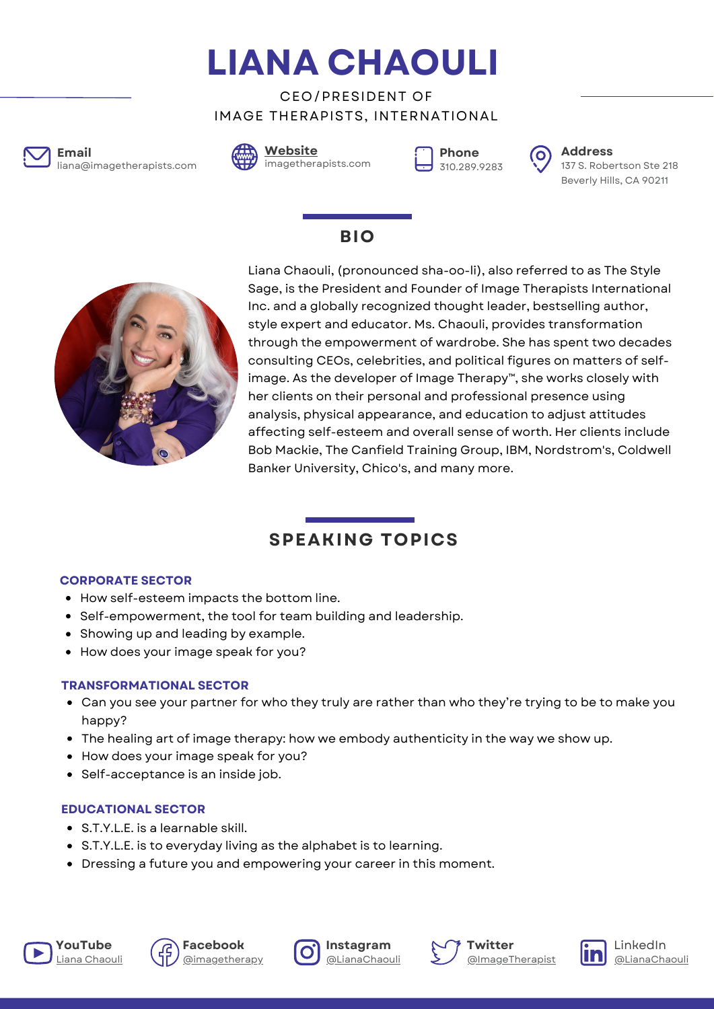**LIANA CHAOULI**

CEO/PRESIDENT OF IMAGE THERAPISTS, INTERNATIONAL



liana@imagetherapists.com **Email Address**





**Phone**



310.289.9283 137 S. Robertson Ste 218 Beverly Hills, CA 90211

## **BIO**



Liana Chaouli, (pronounced sha-oo-li), also referred to as The Style Sage, is the President and Founder of Image Therapists International Inc. and a globally recognized thought leader, bestselling author, style expert and educator. Ms. Chaouli, provides transformation through the empowerment of wardrobe. She has spent two decades consulting CEOs, celebrities, and political figures on matters of selfimage. As the developer of Image Therapy™, she works closely with her clients on their personal and professional presence using analysis, physical appearance, and education to adjust attitudes affecting self-esteem and overall sense of worth. Her clients include Bob Mackie, The Canfield Training Group, IBM, Nordstrom's, Coldwell Banker University, Chico's, and many more.

# **SPEAKING TOPICS**

#### **CORPORATE SECTOR**

- How self-esteem impacts the bottom line.
- Self-empowerment, the tool for team building and leadership.
- Showing up and leading by example.
- How does your image speak for you?

#### **TRANSFORMATIONAL SECTOR**

- Can you see your partner for who they truly are rather than who they're trying to be to make you happy?
- The healing art of image therapy: how we embody authenticity in the way we show up.
- How does your image speak for you?
- Self-acceptance is an inside job.

### **EDUCATIONAL SECTOR**

- S.T.Y.L.E. is a learnable skill.
- S.T.Y.L.E. is to everyday living as the alphabet is to learning.
- Dressing a future you and empowering your career in this moment.